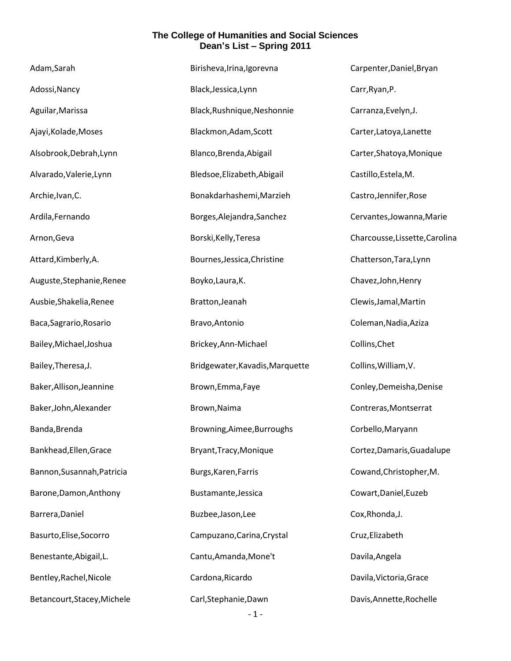| Adam, Sarah                 | Birisheva, Irina, Igorevna      | Carpenter, Daniel, Bryan       |
|-----------------------------|---------------------------------|--------------------------------|
| Adossi, Nancy               | Black, Jessica, Lynn            | Carr, Ryan, P.                 |
| Aguilar, Marissa            | Black, Rushnique, Neshonnie     | Carranza, Evelyn, J.           |
| Ajayi, Kolade, Moses        | Blackmon, Adam, Scott           | Carter, Latoya, Lanette        |
| Alsobrook, Debrah, Lynn     | Blanco, Brenda, Abigail         | Carter, Shatoya, Monique       |
| Alvarado, Valerie, Lynn     | Bledsoe, Elizabeth, Abigail     | Castillo, Estela, M.           |
| Archie, Ivan, C.            | Bonakdarhashemi, Marzieh        | Castro, Jennifer, Rose         |
| Ardila, Fernando            | Borges, Alejandra, Sanchez      | Cervantes, Jowanna, Marie      |
| Arnon, Geva                 | Borski, Kelly, Teresa           | Charcousse, Lissette, Carolina |
| Attard, Kimberly, A.        | Bournes, Jessica, Christine     | Chatterson, Tara, Lynn         |
| Auguste, Stephanie, Renee   | Boyko, Laura, K.                | Chavez, John, Henry            |
| Ausbie, Shakelia, Renee     | Bratton, Jeanah                 | Clewis, Jamal, Martin          |
| Baca, Sagrario, Rosario     | Bravo, Antonio                  | Coleman, Nadia, Aziza          |
| Bailey, Michael, Joshua     | Brickey, Ann-Michael            | Collins, Chet                  |
| Bailey, Theresa, J.         | Bridgewater, Kavadis, Marquette | Collins, William, V.           |
| Baker, Allison, Jeannine    | Brown, Emma, Faye               | Conley, Demeisha, Denise       |
| Baker, John, Alexander      | Brown, Naima                    | Contreras, Montserrat          |
| Banda, Brenda               | Browning, Aimee, Burroughs      | Corbello, Maryann              |
| Bankhead, Ellen, Grace      | Bryant, Tracy, Monique          | Cortez, Damaris, Guadalupe     |
| Bannon, Susannah, Patricia  | Burgs, Karen, Farris            | Cowand, Christopher, M.        |
| Barone, Damon, Anthony      | Bustamante, Jessica             | Cowart, Daniel, Euzeb          |
| Barrera, Daniel             | Buzbee, Jason, Lee              | Cox, Rhonda, J.                |
| Basurto, Elise, Socorro     | Campuzano, Carina, Crystal      | Cruz, Elizabeth                |
| Benestante, Abigail, L.     | Cantu, Amanda, Mone't           | Davila, Angela                 |
| Bentley, Rachel, Nicole     | Cardona, Ricardo                | Davila, Victoria, Grace        |
| Betancourt, Stacey, Michele | Carl, Stephanie, Dawn           | Davis, Annette, Rochelle       |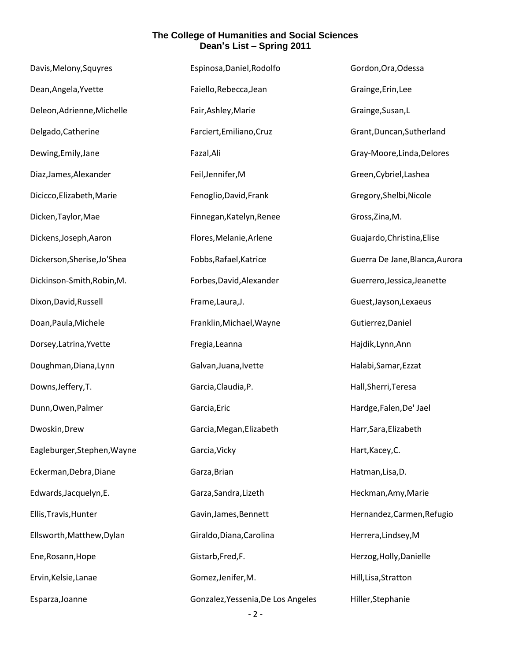| Davis, Melony, Squyres      | Espinosa, Daniel, Rodolfo          | Gordon, Ora, Odessa            |
|-----------------------------|------------------------------------|--------------------------------|
| Dean, Angela, Yvette        | Faiello, Rebecca, Jean             | Grainge, Erin, Lee             |
| Deleon, Adrienne, Michelle  | Fair, Ashley, Marie                | Grainge, Susan, L              |
| Delgado, Catherine          | Farciert, Emiliano, Cruz           | Grant, Duncan, Sutherland      |
| Dewing, Emily, Jane         | Fazal, Ali                         | Gray-Moore, Linda, Delores     |
| Diaz, James, Alexander      | Feil, Jennifer, M                  | Green, Cybriel, Lashea         |
| Dicicco, Elizabeth, Marie   | Fenoglio, David, Frank             | Gregory, Shelbi, Nicole        |
| Dicken, Taylor, Mae         | Finnegan, Katelyn, Renee           | Gross, Zina, M.                |
| Dickens, Joseph, Aaron      | Flores, Melanie, Arlene            | Guajardo, Christina, Elise     |
| Dickerson, Sherise, Jo'Shea | Fobbs, Rafael, Katrice             | Guerra De Jane, Blanca, Aurora |
| Dickinson-Smith, Robin, M.  | Forbes, David, Alexander           | Guerrero, Jessica, Jeanette    |
| Dixon, David, Russell       | Frame, Laura, J.                   | Guest, Jayson, Lexaeus         |
| Doan, Paula, Michele        | Franklin, Michael, Wayne           | Gutierrez, Daniel              |
| Dorsey, Latrina, Yvette     | Fregia, Leanna                     | Hajdik, Lynn, Ann              |
| Doughman, Diana, Lynn       | Galvan, Juana, Ivette              | Halabi, Samar, Ezzat           |
| Downs, Jeffery, T.          | Garcia, Claudia, P.                | Hall, Sherri, Teresa           |
| Dunn, Owen, Palmer          | Garcia, Eric                       | Hardge, Falen, De' Jael        |
| Dwoskin, Drew               | Garcia, Megan, Elizabeth           | Harr, Sara, Elizabeth          |
| Eagleburger, Stephen, Wayne | Garcia, Vicky                      | Hart, Kacey, C.                |
| Eckerman, Debra, Diane      | Garza, Brian                       | Hatman, Lisa, D.               |
| Edwards, Jacquelyn, E.      | Garza, Sandra, Lizeth              | Heckman, Amy, Marie            |
| Ellis, Travis, Hunter       | Gavin, James, Bennett              | Hernandez, Carmen, Refugio     |
| Ellsworth, Matthew, Dylan   | Giraldo, Diana, Carolina           | Herrera, Lindsey, M            |
| Ene, Rosann, Hope           | Gistarb, Fred, F.                  | Herzog, Holly, Danielle        |
| Ervin, Kelsie, Lanae        | Gomez, Jenifer, M.                 | Hill, Lisa, Stratton           |
| Esparza, Joanne             | Gonzalez, Yessenia, De Los Angeles | Hiller, Stephanie              |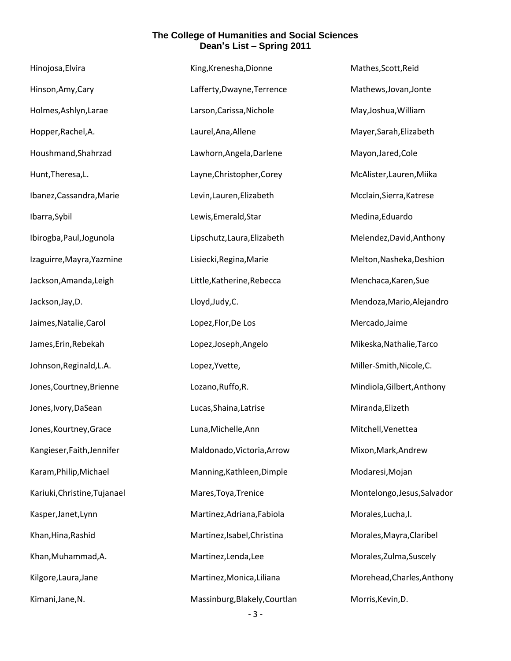| Hinojosa, Elvira             | King, Krenesha, Dionne        | Mathes, Scott, Reid         |
|------------------------------|-------------------------------|-----------------------------|
| Hinson, Amy, Cary            | Lafferty, Dwayne, Terrence    | Mathews, Jovan, Jonte       |
| Holmes, Ashlyn, Larae        | Larson, Carissa, Nichole      | May, Joshua, William        |
| Hopper, Rachel, A.           | Laurel, Ana, Allene           | Mayer, Sarah, Elizabeth     |
| Houshmand, Shahrzad          | Lawhorn, Angela, Darlene      | Mayon, Jared, Cole          |
| Hunt, Theresa, L.            | Layne, Christopher, Corey     | McAlister, Lauren, Miika    |
| Ibanez, Cassandra, Marie     | Levin, Lauren, Elizabeth      | Mcclain, Sierra, Katrese    |
| Ibarra, Sybil                | Lewis, Emerald, Star          | Medina, Eduardo             |
| Ibirogba, Paul, Jogunola     | Lipschutz, Laura, Elizabeth   | Melendez, David, Anthony    |
| Izaguirre, Mayra, Yazmine    | Lisiecki, Regina, Marie       | Melton, Nasheka, Deshion    |
| Jackson, Amanda, Leigh       | Little, Katherine, Rebecca    | Menchaca, Karen, Sue        |
| Jackson, Jay, D.             | Lloyd, Judy, C.               | Mendoza, Mario, Alejandro   |
| Jaimes, Natalie, Carol       | Lopez, Flor, De Los           | Mercado, Jaime              |
| James, Erin, Rebekah         | Lopez, Joseph, Angelo         | Mikeska, Nathalie, Tarco    |
| Johnson, Reginald, L.A.      | Lopez, Yvette,                | Miller-Smith, Nicole, C.    |
| Jones, Courtney, Brienne     | Lozano, Ruffo, R.             | Mindiola, Gilbert, Anthony  |
| Jones, Ivory, DaSean         | Lucas, Shaina, Latrise        | Miranda, Elizeth            |
| Jones, Kourtney, Grace       | Luna, Michelle, Ann           | Mitchell, Venettea          |
| Kangieser, Faith, Jennifer   | Maldonado, Victoria, Arrow    | Mixon, Mark, Andrew         |
| Karam, Philip, Michael       | Manning, Kathleen, Dimple     | Modaresi, Mojan             |
| Kariuki, Christine, Tujanael | Mares, Toya, Trenice          | Montelongo, Jesus, Salvador |
| Kasper, Janet, Lynn          | Martinez, Adriana, Fabiola    | Morales, Lucha, I.          |
| Khan, Hina, Rashid           | Martinez, Isabel, Christina   | Morales, Mayra, Claribel    |
| Khan, Muhammad, A.           | Martinez, Lenda, Lee          | Morales, Zulma, Suscely     |
| Kilgore, Laura, Jane         | Martinez, Monica, Liliana     | Morehead, Charles, Anthony  |
| Kimani, Jane, N.             | Massinburg, Blakely, Courtlan | Morris, Kevin, D.           |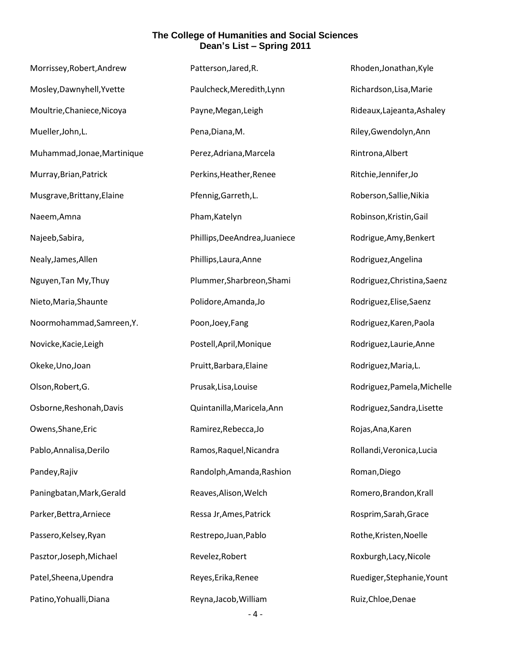| Morrissey, Robert, Andrew   | Patterson, Jared, R.           | Rhoden, Jonathan, Kyle      |
|-----------------------------|--------------------------------|-----------------------------|
| Mosley, Dawnyhell, Yvette   | Paulcheck, Meredith, Lynn      | Richardson, Lisa, Marie     |
| Moultrie, Chaniece, Nicoya  | Payne, Megan, Leigh            | Rideaux, Lajeanta, Ashaley  |
| Mueller, John, L.           | Pena, Diana, M.                | Riley, Gwendolyn, Ann       |
| Muhammad, Jonae, Martinique | Perez, Adriana, Marcela        | Rintrona, Albert            |
| Murray, Brian, Patrick      | Perkins, Heather, Renee        | Ritchie, Jennifer, Jo       |
| Musgrave, Brittany, Elaine  | Pfennig, Garreth, L.           | Roberson, Sallie, Nikia     |
| Naeem, Amna                 | Pham, Katelyn                  | Robinson, Kristin, Gail     |
| Najeeb, Sabira,             | Phillips, Dee Andrea, Juaniece | Rodrigue, Amy, Benkert      |
| Nealy, James, Allen         | Phillips, Laura, Anne          | Rodriguez, Angelina         |
| Nguyen, Tan My, Thuy        | Plummer, Sharbreon, Shami      | Rodriguez, Christina, Saenz |
| Nieto, Maria, Shaunte       | Polidore, Amanda, Jo           | Rodriguez, Elise, Saenz     |
| Noormohammad, Samreen, Y.   | Poon, Joey, Fang               | Rodriguez, Karen, Paola     |
| Novicke, Kacie, Leigh       | Postell, April, Monique        | Rodriguez, Laurie, Anne     |
| Okeke, Uno, Joan            | Pruitt, Barbara, Elaine        | Rodriguez, Maria, L.        |
| Olson, Robert, G.           | Prusak, Lisa, Louise           | Rodriguez, Pamela, Michelle |
| Osborne, Reshonah, Davis    | Quintanilla, Maricela, Ann     | Rodriguez, Sandra, Lisette  |
| Owens, Shane, Eric          | Ramirez, Rebecca, Jo           | Rojas, Ana, Karen           |
| Pablo, Annalisa, Derilo     | Ramos, Raquel, Nicandra        | Rollandi, Veronica, Lucia   |
| Pandey, Rajiv               | Randolph, Amanda, Rashion      | Roman, Diego                |
| Paningbatan, Mark, Gerald   | Reaves, Alison, Welch          | Romero, Brandon, Krall      |
| Parker, Bettra, Arniece     | Ressa Jr, Ames, Patrick        | Rosprim, Sarah, Grace       |
| Passero, Kelsey, Ryan       | Restrepo, Juan, Pablo          | Rothe, Kristen, Noelle      |
| Pasztor, Joseph, Michael    | Revelez, Robert                | Roxburgh, Lacy, Nicole      |
| Patel, Sheena, Upendra      | Reyes, Erika, Renee            | Ruediger, Stephanie, Yount  |
| Patino, Yohualli, Diana     | Reyna, Jacob, William          | Ruiz, Chloe, Denae          |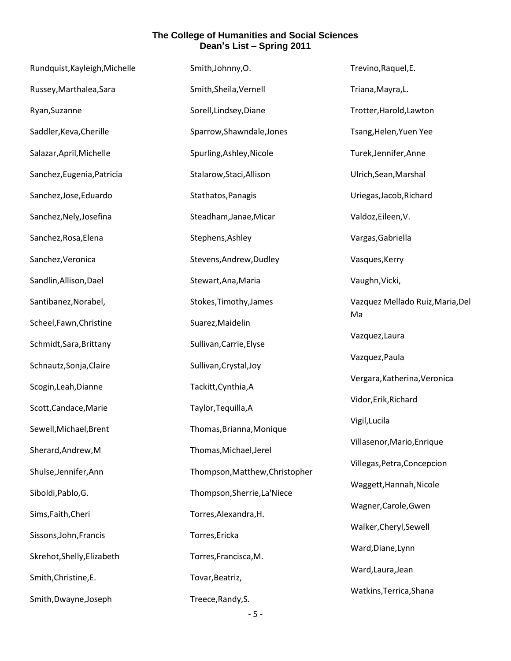| Rundquist, Kayleigh, Michelle | Smith, Johnny, O.              | Trevino, Raquel, E.                    |
|-------------------------------|--------------------------------|----------------------------------------|
| Russey, Marthalea, Sara       | Smith, Sheila, Vernell         | Triana, Mayra, L.                      |
| Ryan, Suzanne                 | Sorell, Lindsey, Diane         | Trotter, Harold, Lawton                |
| Saddler, Keva, Cherille       | Sparrow, Shawndale, Jones      | Tsang, Helen, Yuen Yee                 |
| Salazar, April, Michelle      | Spurling, Ashley, Nicole       | Turek, Jennifer, Anne                  |
| Sanchez, Eugenia, Patricia    | Stalarow, Staci, Allison       | Ulrich, Sean, Marshal                  |
| Sanchez, Jose, Eduardo        | Stathatos, Panagis             | Uriegas, Jacob, Richard                |
| Sanchez, Nely, Josefina       | Steadham, Janae, Micar         | Valdoz, Eileen, V.                     |
| Sanchez, Rosa, Elena          | Stephens, Ashley               | Vargas, Gabriella                      |
| Sanchez, Veronica             | Stevens, Andrew, Dudley        | Vasques, Kerry                         |
| Sandlin, Allison, Dael        | Stewart, Ana, Maria            | Vaughn, Vicki,                         |
| Santibanez, Norabel,          | Stokes, Timothy, James         | Vazquez Mellado Ruiz, Maria, Del<br>Ma |
| Scheel, Fawn, Christine       | Suarez, Maidelin               |                                        |
| Schmidt, Sara, Brittany       | Sullivan, Carrie, Elyse        | Vazquez, Laura                         |
| Schnautz, Sonja, Claire       | Sullivan, Crystal, Joy         | Vazquez, Paula                         |
| Scogin, Leah, Dianne          | Tackitt, Cynthia, A            | Vergara, Katherina, Veronica           |
| Scott, Candace, Marie         | Taylor, Tequilla, A            | Vidor, Erik, Richard                   |
| Sewell, Michael, Brent        | Thomas, Brianna, Monique       | Vigil, Lucila                          |
| Sherard, Andrew, M            | Thomas, Michael, Jerel         | Villasenor, Mario, Enrique             |
| Shulse, Jennifer, Ann         | Thompson, Matthew, Christopher | Villegas, Petra, Concepcion            |
| Siboldi, Pablo, G.            | Thompson, Sherrie, La'Niece    | Waggett, Hannah, Nicole                |
| Sims, Faith, Cheri            | Torres, Alexandra, H.          | Wagner, Carole, Gwen                   |
| Sissons, John, Francis        | Torres, Ericka                 | Walker, Cheryl, Sewell                 |
| Skrehot, Shelly, Elizabeth    | Torres, Francisca, M.          | Ward, Diane, Lynn                      |
| Smith, Christine, E.          | Tovar, Beatriz,                | Ward, Laura, Jean                      |
| Smith, Dwayne, Joseph         | Treece, Randy, S.              | Watkins, Terrica, Shana                |
|                               |                                |                                        |